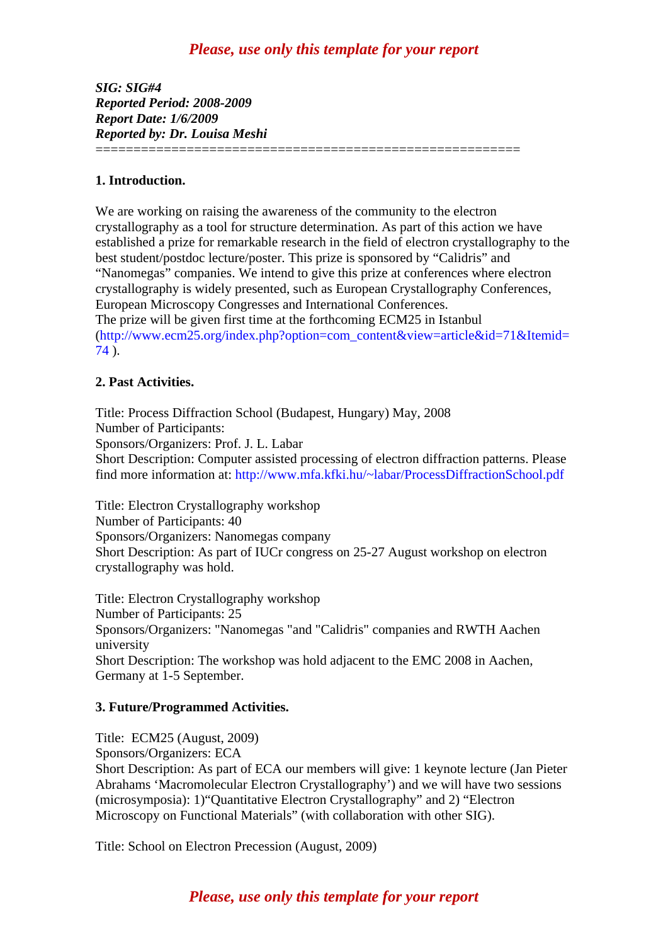# *Please, use only this template for your report*

*SIG: SIG#4 Reported Period: 2008-2009 Report Date: 1/6/2009 Reported by: Dr. Louisa Meshi*  ========================================================

### **1. Introduction.**

We are working on raising the awareness of the community to the electron crystallography as a tool for structure determination. As part of this action we have established a prize for remarkable research in the field of electron crystallography to the best student/postdoc lecture/poster. This prize is sponsored by "Calidris" and "Nanomegas" companies. We intend to give this prize at conferences where electron crystallography is widely presented, such as European Crystallography Conferences, European Microscopy Congresses and International Conferences. The prize will be given first time at the forthcoming ECM25 in Istanbul [\(http://www.ecm25.org/index.php?option=com\\_content&view=article&id=71&Itemid=](http://www.ecm25.org/index.php?option=com_content&view=article&id=71&Itemid=74) [74](http://www.ecm25.org/index.php?option=com_content&view=article&id=71&Itemid=74) ).

### **2. Past Activities.**

Title: Process Diffraction School (Budapest, Hungary) May, 2008 Number of Participants: Sponsors/Organizers: Prof. J. L. Labar Short Description: Computer assisted processing of electron diffraction patterns. Please find more information at: http://www.mfa.kfki.hu/~labar/ProcessDiffractionSchool.pdf

Title: Electron Crystallography workshop Number of Participants: 40 Sponsors/Organizers: Nanomegas company Short Description: As part of IUCr congress on 25-27 August workshop on electron crystallography was hold.

Title: Electron Crystallography workshop Number of Participants: 25 Sponsors/Organizers: "Nanomegas "and "Calidris" companies and RWTH Aachen university Short Description: The workshop was hold adjacent to the EMC 2008 in Aachen, Germany at 1-5 September.

#### **3. Future/Programmed Activities.**

Title: ECM25 (August, 2009) Sponsors/Organizers: ECA Short Description: As part of ECA our members will give: 1 keynote lecture (Jan Pieter Abrahams 'Macromolecular Electron Crystallography') and we will have two sessions (microsymposia): 1)"Quantitative Electron Crystallography" and 2) "Electron Microscopy on Functional Materials" (with collaboration with other SIG).

Title: School on Electron Precession (August, 2009)

# *Please, use only this template for your report*